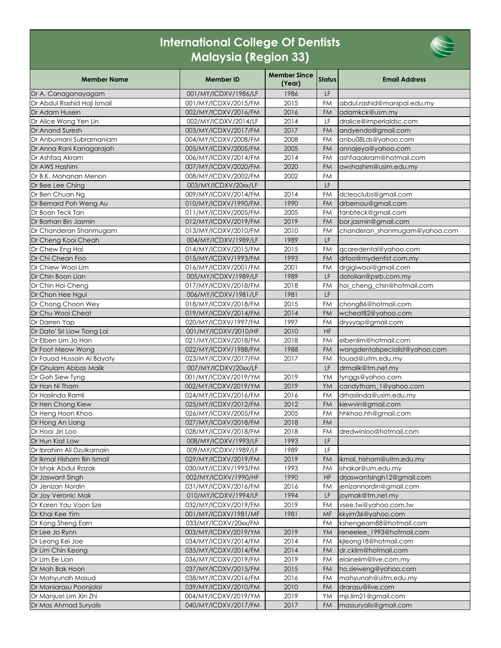## **International College Of Dentists Malaysia (Region 33)**



| <b>Member Name</b>          | <b>Member ID</b>     | <b>Member Since</b><br>(Year) | <b>Status</b>                                                                               | <b>Email Address</b>           |
|-----------------------------|----------------------|-------------------------------|---------------------------------------------------------------------------------------------|--------------------------------|
| Dr A. Canaganayagam         | 001/MY/ICDXV/1986/LF | 1986                          | $\mathsf{LF}% _{0}\left( \mathcal{N}\right) \equiv\mathsf{LF}_{0}\left( \mathcal{N}\right)$ |                                |
| Dr Abdul Rashid Haji Ismail | 001/MY/ICDXV/2015/FM | 2015                          | FM                                                                                          | abdul.rashid@manipal.edu.my    |
| Dr Adam Husein              | 002/MY/ICDXV/2016/FM | 2016                          | FM                                                                                          | adamkck@usm.my                 |
| Dr Alice Wong Yen Lin       | 002/MY/ICDXV/2014/LF | 2014                          | LF                                                                                          | dralice@imperialdsc.com        |
| Dr Anand Suresh             | 003/MY/ICDXV/2017/FM | 2017                          | FM                                                                                          | andyendo@gmail.com             |
| Dr Anbumani Subramaniam     | 004/MY/ICDXV/2008/FM | 2008                          | <b>FM</b>                                                                                   | anbu08Lds@yahoo.com            |
| Dr Anna Rani Kanagarajah    | 005/MY/ICDXV/2005/FM | 2005                          | <b>FM</b>                                                                                   | annajeya@yahoo.com             |
| Dr Ashfaq Akram             | 006/MY/ICDXV/2014/FM | 2014                          | <b>FM</b>                                                                                   | ashfaqakram@hotmail.com        |
| Dr AWS Hashim               | 007/MY/ICDXV/2020/FM | 2020                          | <b>FM</b>                                                                                   | awshashim@usim.edu.my          |
| Dr B.K. Mohanan Menon       | 008/MY/ICDXV/2002/FM | 2002                          | <b>FM</b>                                                                                   |                                |
| Dr Bee Lee Ching            | 003/MY/ICDXV/20xx/LF |                               | LF.                                                                                         |                                |
| Dr Ben Chuan Ng             | 009/MY/ICDXV/2014/FM | 2014                          | FM                                                                                          | dcleoclubs@gmail.com           |
| Dr Bernard Poh Weng Au      | 010/MY/ICDXV/1990/FM | 1990                          | <b>FM</b>                                                                                   | drbernau@gmail.com             |
| Dr Boon Teck Tan            | 011/MY/ICDXV/2005/FM | 2005                          | FM                                                                                          | tanbteck@gmail.com             |
| Dr Borhan Bin Jasmin        | 012/MY/ICDXV/2019/FM | 2019                          | FM                                                                                          | bor.jasmin@gmail.com           |
| Dr Chanderan Shanmugam      | 013/MY/ICDXV/2010/FM | 2010                          | FM                                                                                          | chanderan_shanmugam@yahoo.com  |
| Dr Cheng Kooi Cheah         | 004/MY/ICDXV/1989/LF | 1989                          | $\mathsf{LF}% _{0}\left( \mathcal{N}\right) \equiv\mathsf{LF}_{0}\left( \mathcal{N}\right)$ |                                |
| Dr Chew Eng Hai             | 014/MY/ICDXV/2015/FM | 2015                          | FM                                                                                          | qcaredental@yahoo.com          |
| Dr Chi Chean Foo            | 015/MY/ICDXV/1993/FM | 1993                          | FM                                                                                          | drfoo@mydentist.com.my         |
| Dr Chiew Wooi Lim           | 016/MY/ICDXV/2001/FM | 2001                          | FM                                                                                          | drgigiwooi@gmail.com           |
| Dr Chin Boon Lian           | 005/MY/ICDXV/1989/LF | 1989                          | LF                                                                                          | datolian@psrb.com.my           |
| Dr Chin Hoi Cheng           | 017/MY/ICDXV/2018/FM | 2018                          | FM                                                                                          | hoi_cheng_chin@hotmail.com     |
| Dr Chon Hee Ngui            | 006/MY/ICDXV/1981/LF | 1981                          | LF                                                                                          |                                |
| Dr Chong Choon Wey          | 018/MY/ICDXV/2018/FM | 2015                          | FM                                                                                          | chong86@hotmail.com            |
| Dr Chu Wooi Cheat           | 019/MY/ICDXV/2014/FM | 2014                          | <b>FM</b>                                                                                   | wcheat82@yahoo.com             |
| Dr Darren Yap               | 020/MY/ICDXV/1997/FM | 1997                          | <b>FM</b>                                                                                   | dryyyap@gmail.com              |
| Dr Dato' Sri Liow Tiong Lai | 001/MY/ICDXV/2010/HF | 2010                          | <b>HF</b>                                                                                   |                                |
| Dr Elben Lim Jo Han         | 021/MY/ICDXV/2018/FM | 2018                          | FM                                                                                          | elbenlim@hotmail.com           |
| Dr Foot Meow Wong           | 022/MY/ICDXV/1988/FM | 1988                          | <b>FM</b>                                                                                   | wongdentalspecialist@yahoo.com |
| Dr Fouad Hussain Al Bayaty  | 023/MY/ICDXV/2017/FM | 2017                          | FM                                                                                          | fouad@uitm.edu.my              |
| Dr Ghulam Abbas Malik       | 007/MY/ICDXV/20xx/LF |                               | LF                                                                                          | drmalik@tm.net.my              |
| Dr Goh Siew Tyng            | 001/MY/ICDXV/2019/YM | 2019                          | YM                                                                                          | tynggs@yahoo.com               |
| Dr Han Ni Tham              | 002/MY/ICDXV/2019/YM | 2019                          | YM                                                                                          | candytham_1@yahoo.com          |
| Dr Haslinda Ramli           | 024/MY/ICDXV/2016/FM | 2016                          | <b>FM</b>                                                                                   | drhaslinda@usim.edu.my         |
| Dr Hen Chong Kiew           | 025/MY/ICDXV/2012/FM | 2012                          | <b>FM</b>                                                                                   | kiewvin@gmail.com              |
| Dr Heng Hoon Khoo           | 026/MY/ICDXV/2005/FM | 2005                          | FM                                                                                          | hhkhoo.hh@gmail.com            |
| Dr Hong An Liang            | 027/MY/ICDXV/2018/FM | 2018                          | FM                                                                                          |                                |
| Dr Hooi Jin Loo             | 028/MY/ICDXV/2018/FM | 2018                          | <b>FM</b>                                                                                   | dredwinloo@hotmail.com         |
| Dr Hun Kiat Low             | 008/MY/ICDXV/1993/LF | 1993                          | LF                                                                                          |                                |
| Dr Ibrahim Ali Dzulkarnain  | 009/MY/ICDXV/1989/LF | 1989                          | LF                                                                                          |                                |
| Dr Ikmal Hisham Bin Ismail  | 029/MY/ICDXV/2019/FM | 2019                          | FM                                                                                          | ikmal_hisham@uitm.edu.my       |
| Dr Ishak Abdul Razak        | 030/MY/ICDXV/1993/FM | 1993                          | FM                                                                                          | ishakar@um.edu.my              |
| Dr Jaswant Singh            | 002/MY/ICDXV/1990/HF | 1990                          | HF                                                                                          | drjaswantsingh12@gmail.com     |
| Dr Jenizan Nordin           | 031/MY/ICDXV/2016/FM | 2016                          | FM                                                                                          | jenizannordin@gmail.com        |
| Dr Joy Veronic Mak          | 010/MY/ICDXV/1994/LF | 1994                          | LF                                                                                          | joymak@tm.net.my               |
| Dr Karen Yau Voon Sze       | 032/MY/ICDXV/2019/FM | 2019                          | FM                                                                                          | vsee.tw@yahoo.com.tw           |
| Dr Khai Kee Yim             | 001/MY/ICDXV/1981/MF | 1981                          | MF                                                                                          | kkyim36@yahoo.com              |
| Dr Kong Sheng Earn          | 033/MY/ICDXV/20xx/FM |                               | FM                                                                                          | kshengearn88@hotmail.com       |
| Dr Lee Jo Rynn              | 003/MY/ICDXV/2019/YM | 2019                          | YM                                                                                          | reneelee_1993@hotmail.com      |
| Dr Leong Kei Joe            | 034/MY/ICDXV/2014/FM | 2014                          | FM                                                                                          | kjleong18@hotmail.com          |
| Dr Lim Chin Keong           | 035/MY/ICDXV/2014/FM | 2014                          | FM                                                                                          | dr.cklim@hotmail.com           |
| Dr Lim Ee Lian              | 036/MY/ICDXV/2019/FM | 2019                          | FM                                                                                          | elainelim@live.com.my          |
| Dr Mah Bak Hoon             | 037/MY/ICDXV/2015/FM | 2015                          | FM                                                                                          | ho.sieweng@yahoo.com           |
| Dr Mahyunah Masud           | 038/MY/ICDXV/2016/FM | 2016                          | FM                                                                                          | mahyunah@uitm.edu.my           |
| Dr Maniarasu Poonjolai      | 039/MY/ICDXV/2010/FM | 2010                          | FM                                                                                          | drarasu@live.com               |
| Dr Manjusri Lim Xin Zhi     | 004/MY/ICDXV/2019/YM | 2019                          | YM                                                                                          | mjs.lim21@gmail.com            |
| Dr Mas Ahmad Suryalis       | 040/MY/ICDXV/2017/FM | 2017                          | <b>FM</b>                                                                                   | massuryalis@gmail.com          |